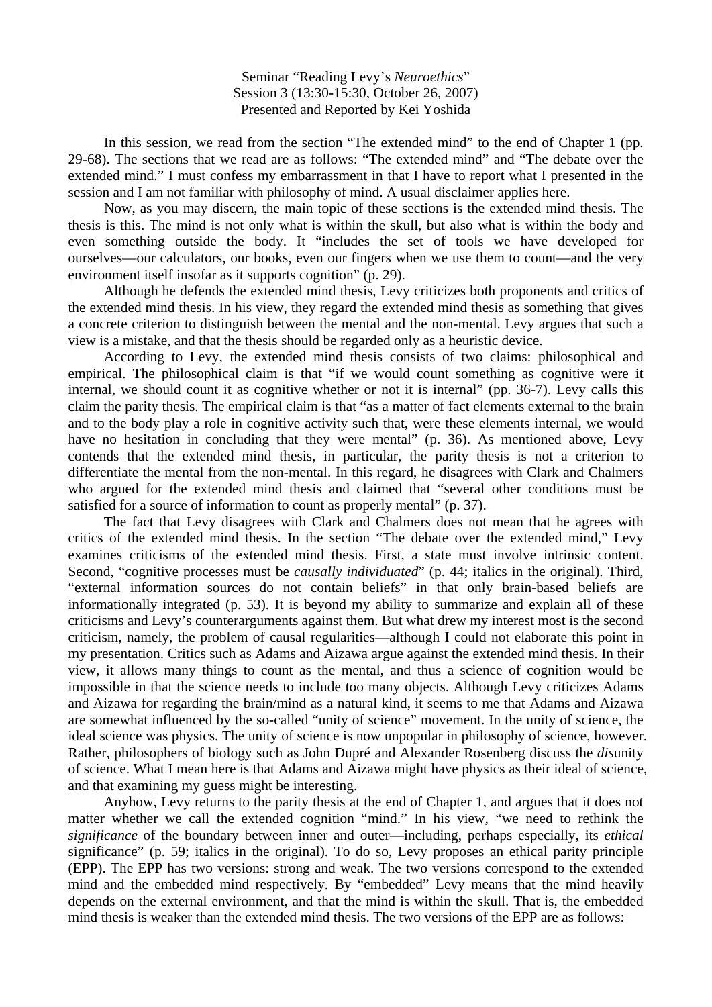Seminar "Reading Levy's *Neuroethics*" Session 3 (13:30-15:30, October 26, 2007) Presented and Reported by Kei Yoshida

 In this session, we read from the section "The extended mind" to the end of Chapter 1 (pp. 29-68). The sections that we read are as follows: "The extended mind" and "The debate over the extended mind." I must confess my embarrassment in that I have to report what I presented in the session and I am not familiar with philosophy of mind. A usual disclaimer applies here.

 Now, as you may discern, the main topic of these sections is the extended mind thesis. The thesis is this. The mind is not only what is within the skull, but also what is within the body and even something outside the body. It "includes the set of tools we have developed for ourselves—our calculators, our books, even our fingers when we use them to count—and the very environment itself insofar as it supports cognition" (p. 29).

 Although he defends the extended mind thesis, Levy criticizes both proponents and critics of the extended mind thesis. In his view, they regard the extended mind thesis as something that gives a concrete criterion to distinguish between the mental and the non-mental. Levy argues that such a view is a mistake, and that the thesis should be regarded only as a heuristic device.

 According to Levy, the extended mind thesis consists of two claims: philosophical and empirical. The philosophical claim is that "if we would count something as cognitive were it internal, we should count it as cognitive whether or not it is internal" (pp. 36-7). Levy calls this claim the parity thesis. The empirical claim is that "as a matter of fact elements external to the brain and to the body play a role in cognitive activity such that, were these elements internal, we would have no hesitation in concluding that they were mental" (p. 36). As mentioned above, Levy contends that the extended mind thesis, in particular, the parity thesis is not a criterion to differentiate the mental from the non-mental. In this regard, he disagrees with Clark and Chalmers who argued for the extended mind thesis and claimed that "several other conditions must be satisfied for a source of information to count as properly mental" (p. 37).

 The fact that Levy disagrees with Clark and Chalmers does not mean that he agrees with critics of the extended mind thesis. In the section "The debate over the extended mind," Levy examines criticisms of the extended mind thesis. First, a state must involve intrinsic content. Second, "cognitive processes must be *causally individuated*" (p. 44; italics in the original). Third, "external information sources do not contain beliefs" in that only brain-based beliefs are informationally integrated (p. 53). It is beyond my ability to summarize and explain all of these criticisms and Levy's counterarguments against them. But what drew my interest most is the second criticism, namely, the problem of causal regularities—although I could not elaborate this point in my presentation. Critics such as Adams and Aizawa argue against the extended mind thesis. In their view, it allows many things to count as the mental, and thus a science of cognition would be impossible in that the science needs to include too many objects. Although Levy criticizes Adams and Aizawa for regarding the brain/mind as a natural kind, it seems to me that Adams and Aizawa are somewhat influenced by the so-called "unity of science" movement. In the unity of science, the ideal science was physics. The unity of science is now unpopular in philosophy of science, however. Rather, philosophers of biology such as John Dupré and Alexander Rosenberg discuss the *dis*unity of science. What I mean here is that Adams and Aizawa might have physics as their ideal of science, and that examining my guess might be interesting.

 Anyhow, Levy returns to the parity thesis at the end of Chapter 1, and argues that it does not matter whether we call the extended cognition "mind." In his view, "we need to rethink the *significance* of the boundary between inner and outer—including, perhaps especially, its *ethical* significance" (p. 59; italics in the original). To do so, Levy proposes an ethical parity principle (EPP). The EPP has two versions: strong and weak. The two versions correspond to the extended mind and the embedded mind respectively. By "embedded" Levy means that the mind heavily depends on the external environment, and that the mind is within the skull. That is, the embedded mind thesis is weaker than the extended mind thesis. The two versions of the EPP are as follows: